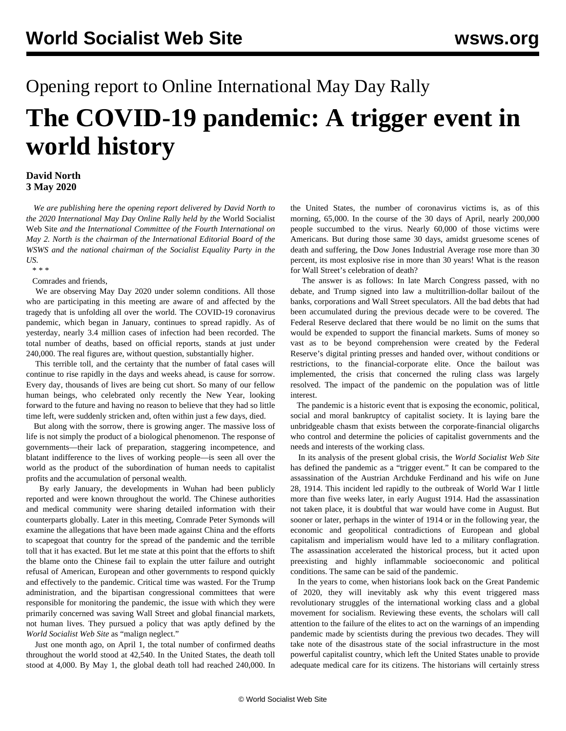## Opening report to Online International May Day Rally **The COVID-19 pandemic: A trigger event in world history**

## **David North 3 May 2020**

 *We are publishing here the opening report delivered by David North to the 2020 International May Day Online Rally held by the* World Socialist Web Site *and the International Committee of the Fourth International on May 2. North is the chairman of the International Editorial Board of the WSWS and the national chairman of the Socialist Equality Party in the US.*

\* \* \*

Comrades and friends,

 We are observing May Day 2020 under solemn conditions. All those who are participating in this meeting are aware of and affected by the tragedy that is unfolding all over the world. The COVID-19 coronavirus pandemic, which began in January, continues to spread rapidly. As of yesterday, nearly 3.4 million cases of infection had been recorded. The total number of deaths, based on official reports, stands at just under 240,000. The real figures are, without question, substantially higher.

 This terrible toll, and the certainty that the number of fatal cases will continue to rise rapidly in the days and weeks ahead, is cause for sorrow. Every day, thousands of lives are being cut short. So many of our fellow human beings, who celebrated only recently the New Year, looking forward to the future and having no reason to believe that they had so little time left, were suddenly stricken and, often within just a few days, died.

 But along with the sorrow, there is growing anger. The massive loss of life is not simply the product of a biological phenomenon. The response of governments—their lack of preparation, staggering incompetence, and blatant indifference to the lives of working people—is seen all over the world as the product of the subordination of human needs to capitalist profits and the accumulation of personal wealth.

 By early January, the developments in Wuhan had been publicly reported and were known throughout the world. The Chinese authorities and medical community were sharing detailed information with their counterparts globally. Later in this meeting, Comrade Peter Symonds will examine the allegations that have been made against China and the efforts to scapegoat that country for the spread of the pandemic and the terrible toll that it has exacted. But let me state at this point that the efforts to shift the blame onto the Chinese fail to explain the utter failure and outright refusal of American, European and other governments to respond quickly and effectively to the pandemic. Critical time was wasted. For the Trump administration, and the bipartisan congressional committees that were responsible for monitoring the pandemic, the issue with which they were primarily concerned was saving Wall Street and global financial markets, not human lives. They pursued a policy that was aptly defined by the *World Socialist Web Site* as "malign neglect."

 Just one month ago, on April 1, the total number of confirmed deaths throughout the world stood at 42,540. In the United States, the death toll stood at 4,000. By May 1, the global death toll had reached 240,000. In the United States, the number of coronavirus victims is, as of this morning, 65,000. In the course of the 30 days of April, nearly 200,000 people succumbed to the virus. Nearly 60,000 of those victims were Americans. But during those same 30 days, amidst gruesome scenes of death and suffering, the Dow Jones Industrial Average rose more than 30 percent, its most explosive rise in more than 30 years! What is the reason for Wall Street's celebration of death?

 The answer is as follows: In late March Congress passed, with no debate, and Trump signed into law a multitrillion-dollar bailout of the banks, corporations and Wall Street speculators. All the bad debts that had been accumulated during the previous decade were to be covered. The Federal Reserve declared that there would be no limit on the sums that would be expended to support the financial markets. Sums of money so vast as to be beyond comprehension were created by the Federal Reserve's digital printing presses and handed over, without conditions or restrictions, to the financial-corporate elite. Once the bailout was implemented, the crisis that concerned the ruling class was largely resolved. The impact of the pandemic on the population was of little interest.

 The pandemic is a historic event that is exposing the economic, political, social and moral bankruptcy of capitalist society. It is laying bare the unbridgeable chasm that exists between the corporate-financial oligarchs who control and determine the policies of capitalist governments and the needs and interests of the working class.

 In its analysis of the present global crisis, the *World Socialist Web Site* has defined the pandemic as a "trigger event." It can be compared to the assassination of the Austrian Archduke Ferdinand and his wife on June 28, 1914. This incident led rapidly to the outbreak of World War I little more than five weeks later, in early August 1914. Had the assassination not taken place, it is doubtful that war would have come in August. But sooner or later, perhaps in the winter of 1914 or in the following year, the economic and geopolitical contradictions of European and global capitalism and imperialism would have led to a military conflagration. The assassination accelerated the historical process, but it acted upon preexisting and highly inflammable socioeconomic and political conditions. The same can be said of the pandemic.

 In the years to come, when historians look back on the Great Pandemic of 2020, they will inevitably ask why this event triggered mass revolutionary struggles of the international working class and a global movement for socialism. Reviewing these events, the scholars will call attention to the failure of the elites to act on the warnings of an impending pandemic made by scientists during the previous two decades. They will take note of the disastrous state of the social infrastructure in the most powerful capitalist country, which left the United States unable to provide adequate medical care for its citizens. The historians will certainly stress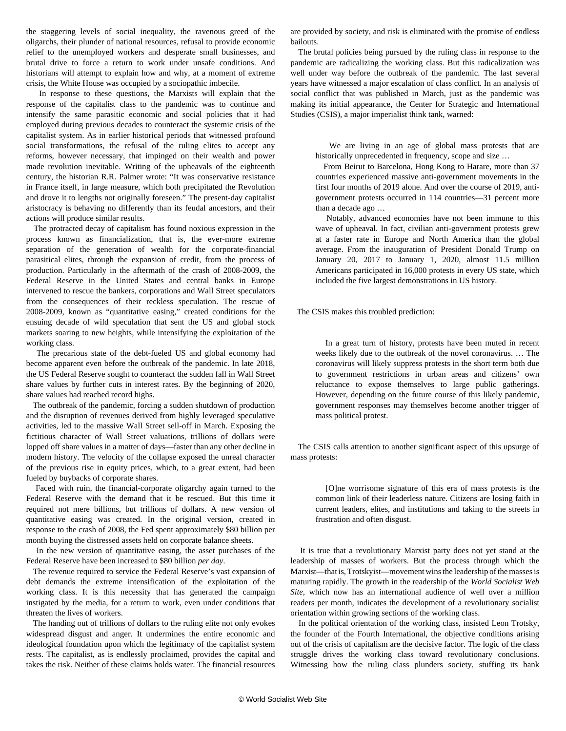the staggering levels of social inequality, the ravenous greed of the oligarchs, their plunder of national resources, refusal to provide economic relief to the unemployed workers and desperate small businesses, and brutal drive to force a return to work under unsafe conditions. And historians will attempt to explain how and why, at a moment of extreme crisis, the White House was occupied by a sociopathic imbecile.

 In response to these questions, the Marxists will explain that the response of the capitalist class to the pandemic was to continue and intensify the same parasitic economic and social policies that it had employed during previous decades to counteract the systemic crisis of the capitalist system. As in earlier historical periods that witnessed profound social transformations, the refusal of the ruling elites to accept any reforms, however necessary, that impinged on their wealth and power made revolution inevitable. Writing of the upheavals of the eighteenth century, the historian R.R. Palmer wrote: "It was conservative resistance in France itself, in large measure, which both precipitated the Revolution and drove it to lengths not originally foreseen." The present-day capitalist aristocracy is behaving no differently than its feudal ancestors, and their actions will produce similar results.

 The protracted decay of capitalism has found noxious expression in the process known as financialization, that is, the ever-more extreme separation of the generation of wealth for the corporate-financial parasitical elites, through the expansion of credit, from the process of production. Particularly in the aftermath of the crash of 2008-2009, the Federal Reserve in the United States and central banks in Europe intervened to rescue the bankers, corporations and Wall Street speculators from the consequences of their reckless speculation. The rescue of 2008-2009, known as "quantitative easing," created conditions for the ensuing decade of wild speculation that sent the US and global stock markets soaring to new heights, while intensifying the exploitation of the working class.

 The precarious state of the debt-fueled US and global economy had become apparent even before the outbreak of the pandemic. In late 2018, the US Federal Reserve sought to counteract the sudden fall in Wall Street share values by further cuts in interest rates. By the beginning of 2020, share values had reached record highs.

 The outbreak of the pandemic, forcing a sudden shutdown of production and the disruption of revenues derived from highly leveraged speculative activities, led to the massive Wall Street sell-off in March. Exposing the fictitious character of Wall Street valuations, trillions of dollars were lopped off share values in a matter of days—faster than any other decline in modern history. The velocity of the collapse exposed the unreal character of the previous rise in equity prices, which, to a great extent, had been fueled by buybacks of corporate shares.

 Faced with ruin, the financial-corporate oligarchy again turned to the Federal Reserve with the demand that it be rescued. But this time it required not mere billions, but trillions of dollars. A new version of quantitative easing was created. In the original version, created in response to the crash of 2008, the Fed spent approximately \$80 billion per month buying the distressed assets held on corporate balance sheets.

 In the new version of quantitative easing, the asset purchases of the Federal Reserve have been increased to \$80 billion *per day*.

 The revenue required to service the Federal Reserve's vast expansion of debt demands the extreme intensification of the exploitation of the working class. It is this necessity that has generated the campaign instigated by the media, for a return to work, even under conditions that threaten the lives of workers.

 The handing out of trillions of dollars to the ruling elite not only evokes widespread disgust and anger. It undermines the entire economic and ideological foundation upon which the legitimacy of the capitalist system rests. The capitalist, as is endlessly proclaimed, provides the capital and takes the risk. Neither of these claims holds water. The financial resources

are provided by society, and risk is eliminated with the promise of endless bailouts.

 The brutal policies being pursued by the ruling class in response to the pandemic are radicalizing the working class. But this radicalization was well under way before the outbreak of the pandemic. The last several years have witnessed a major escalation of class conflict. In an analysis of social conflict that was published in March, just as the pandemic was making its initial appearance, the Center for Strategic and International Studies (CSIS), a major imperialist think tank, warned:

 We are living in an age of global mass protests that are historically unprecedented in frequency, scope and size ...

 From Beirut to Barcelona, Hong Kong to Harare, more than 37 countries experienced massive anti-government movements in the first four months of 2019 alone. And over the course of 2019, antigovernment protests occurred in 114 countries—31 percent more than a decade ago …

 Notably, advanced economies have not been immune to this wave of upheaval. In fact, civilian anti-government protests grew at a faster rate in Europe and North America than the global average. From the inauguration of President Donald Trump on January 20, 2017 to January 1, 2020, almost 11.5 million Americans participated in 16,000 protests in every US state, which included the five largest demonstrations in US history.

The CSIS makes this troubled prediction:

 In a great turn of history, protests have been muted in recent weeks likely due to the outbreak of the novel coronavirus. … The coronavirus will likely suppress protests in the short term both due to government restrictions in urban areas and citizens' own reluctance to expose themselves to large public gatherings. However, depending on the future course of this likely pandemic, government responses may themselves become another trigger of mass political protest.

 The CSIS calls attention to another significant aspect of this upsurge of mass protests:

 [O]ne worrisome signature of this era of mass protests is the common link of their leaderless nature. Citizens are losing faith in current leaders, elites, and institutions and taking to the streets in frustration and often disgust.

 It is true that a revolutionary Marxist party does not yet stand at the leadership of masses of workers. But the process through which the Marxist—that is, Trotskyist—movement wins the leadership of the masses is maturing rapidly. The growth in the readership of the *World Socialist Web Site*, which now has an international audience of well over a million readers per month, indicates the development of a revolutionary socialist orientation within growing sections of the working class.

 In the political orientation of the working class, insisted Leon Trotsky, the founder of the Fourth International, the objective conditions arising out of the crisis of capitalism are the decisive factor. The logic of the class struggle drives the working class toward revolutionary conclusions. Witnessing how the ruling class plunders society, stuffing its bank